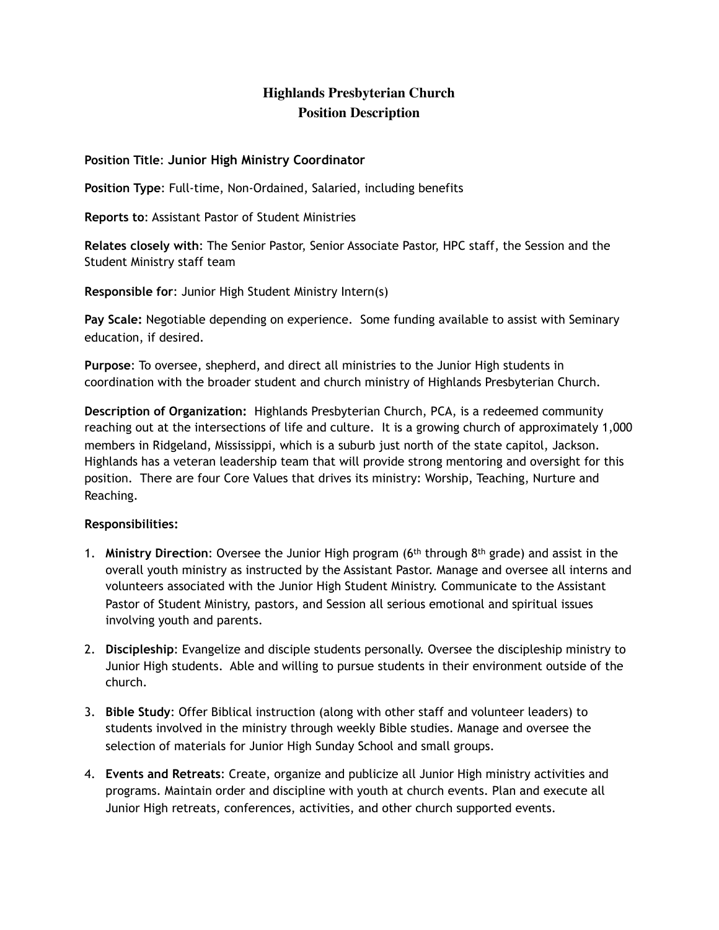# **Highlands Presbyterian Church Position Description**

#### **Position Title**: **Junior High Ministry Coordinator**

**Position Type**: Full-time, Non-Ordained, Salaried, including benefits

**Reports to**: Assistant Pastor of Student Ministries

**Relates closely with**: The Senior Pastor, Senior Associate Pastor, HPC staff, the Session and the Student Ministry staff team

**Responsible for**: Junior High Student Ministry Intern(s)

**Pay Scale:** Negotiable depending on experience. Some funding available to assist with Seminary education, if desired.

**Purpose**: To oversee, shepherd, and direct all ministries to the Junior High students in coordination with the broader student and church ministry of Highlands Presbyterian Church.

**Description of Organization:** Highlands Presbyterian Church, PCA, is a redeemed community reaching out at the intersections of life and culture. It is a growing church of approximately 1,000 members in Ridgeland, Mississippi, which is a suburb just north of the state capitol, Jackson. Highlands has a veteran leadership team that will provide strong mentoring and oversight for this position. There are four Core Values that drives its ministry: Worship, Teaching, Nurture and Reaching.

#### **Responsibilities:**

- 1. **Ministry Direction**: Oversee the Junior High program (6th through 8th grade) and assist in the overall youth ministry as instructed by the Assistant Pastor. Manage and oversee all interns and volunteers associated with the Junior High Student Ministry. Communicate to the Assistant Pastor of Student Ministry, pastors, and Session all serious emotional and spiritual issues involving youth and parents.
- 2. **Discipleship**: Evangelize and disciple students personally. Oversee the discipleship ministry to Junior High students. Able and willing to pursue students in their environment outside of the church.
- 3. **Bible Study**: Offer Biblical instruction (along with other staff and volunteer leaders) to students involved in the ministry through weekly Bible studies. Manage and oversee the selection of materials for Junior High Sunday School and small groups.
- 4. **Events and Retreats**: Create, organize and publicize all Junior High ministry activities and programs. Maintain order and discipline with youth at church events. Plan and execute all Junior High retreats, conferences, activities, and other church supported events.